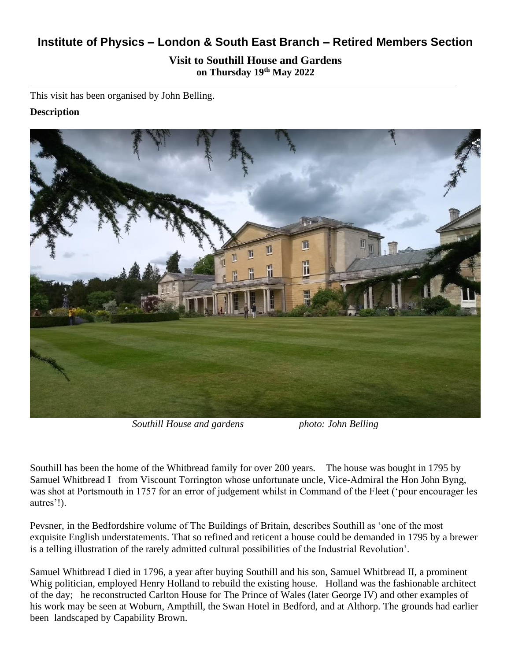# **Institute of Physics – London & South East Branch – Retired Members Section**

# **Visit to Southill House and Gardens on Thursday 19th May 2022**

This visit has been organised by John Belling.

# **Description**



*Southill House and gardens photo: John Belling*

Southill has been the home of the Whitbread family for over 200 years. The house was bought in 1795 by Samuel Whitbread I from Viscount Torrington whose unfortunate uncle, Vice-Admiral the Hon John Byng, was shot at Portsmouth in 1757 for an error of judgement whilst in Command of the Fleet ('pour encourager les autres'!).

Pevsner, in the Bedfordshire volume of The Buildings of Britain, describes Southill as 'one of the most exquisite English understatements. That so refined and reticent a house could be demanded in 1795 by a brewer is a telling illustration of the rarely admitted cultural possibilities of the Industrial Revolution'.

Samuel Whitbread I died in 1796, a year after buying Southill and his son, Samuel Whitbread II, a prominent Whig politician, employed Henry Holland to rebuild the existing house. Holland was the fashionable architect of the day; he reconstructed Carlton House for The Prince of Wales (later George IV) and other examples of his work may be seen at Woburn, Ampthill, the Swan Hotel in Bedford, and at Althorp. The grounds had earlier been landscaped by Capability Brown.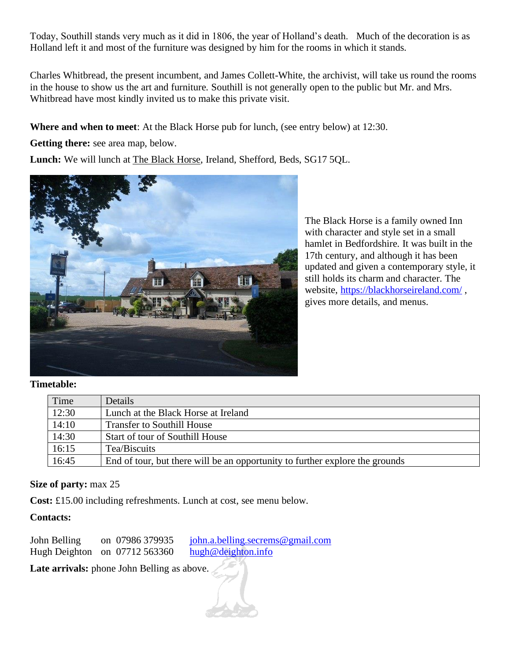Today, Southill stands very much as it did in 1806, the year of Holland's death. Much of the decoration is as Holland left it and most of the furniture was designed by him for the rooms in which it stands.

Charles Whitbread, the present incumbent, and James Collett-White, the archivist, will take us round the rooms in the house to show us the art and furniture. Southill is not generally open to the public but Mr. and Mrs. Whitbread have most kindly invited us to make this private visit.

**Where and when to meet**: At the Black Horse pub for lunch, (see entry below) at 12:30.

**Getting there:** see area map, below.

**Lunch:** We will lunch at The Black Horse, Ireland, Shefford, Beds, SG17 5QL.



The Black Horse is a family owned Inn with character and style set in a small hamlet in Bedfordshire. It was built in the 17th century, and although it has been updated and given a contemporary style, it still holds its charm and character. The website,<https://blackhorseireland.com/> , gives more details, and menus.

#### **Timetable:**

| Time  | <b>Details</b>                                                               |
|-------|------------------------------------------------------------------------------|
| 12:30 | Lunch at the Black Horse at Ireland                                          |
| 14:10 | <b>Transfer to Southill House</b>                                            |
| 14:30 | Start of tour of Southill House                                              |
| 16:15 | Tea/Biscuits                                                                 |
| 16:45 | End of tour, but there will be an opportunity to further explore the grounds |

# **Size of party:** max 25

**Cost:** £15.00 including refreshments. Lunch at cost, see menu below.

# **Contacts:**

John Belling on 07986 379935 [john.a.belling.secrems@gmail.com](mailto:john.a.belling.secrems@gmail.com) Hugh Deighton on 07712 563360 [hugh@deighton.info](mailto:hugh@deighton.info)

Late arrivals: phone John Belling as above.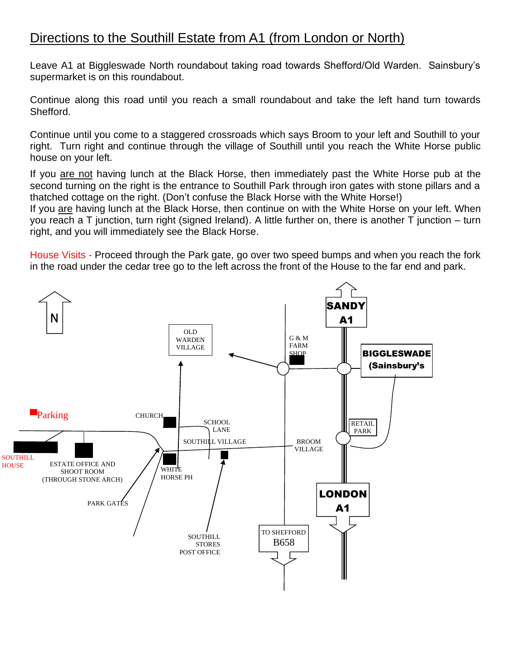# Directions to the Southill Estate from A1 (from London or North)

Leave A1 at Biggleswade North roundabout taking road towards Shefford/Old Warden. Sainsbury's supermarket is on this roundabout.

Continue along this road until you reach a small roundabout and take the left hand turn towards Shefford.

Continue until you come to a staggered crossroads which says Broom to your left and Southill to your right. Turn right and continue through the village of Southill until you reach the White Horse public house on your left.

If you are not having lunch at the Black Horse, then immediately past the White Horse pub at the second turning on the right is the entrance to Southill Park through iron gates with stone pillars and a thatched cottage on the right. (Don't confuse the Black Horse with the White Horse!)

If you are having lunch at the Black Horse, then continue on with the White Horse on your left. When you reach a T junction, turn right (signed Ireland). A little further on, there is another T junction – turn right, and you will immediately see the Black Horse.

House Visits - Proceed through the Park gate, go over two speed bumps and when you reach the fork in the road under the cedar tree go to the left across the front of the House to the far end and park.